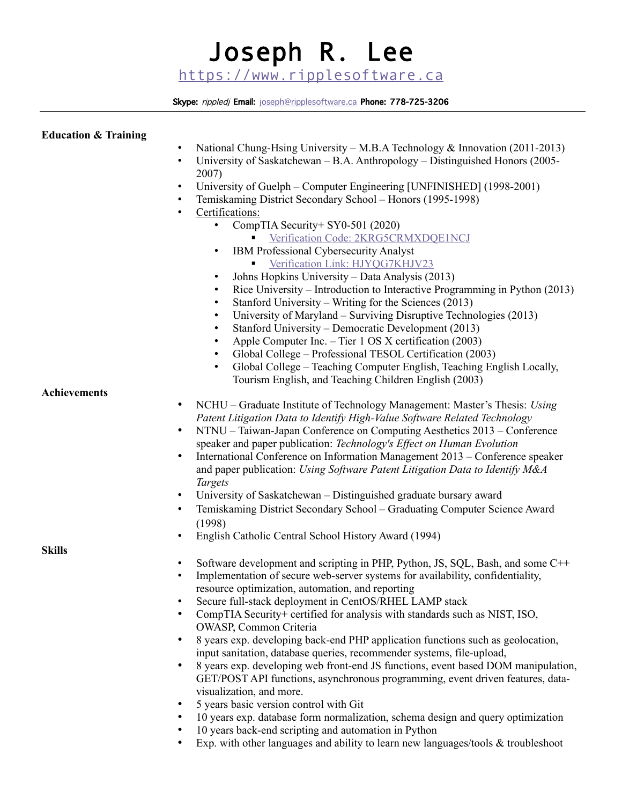# Joseph R. Lee [https://www.ripplesoftware.ca](https://www.ripplesoftware.ca/)

Skype: rippledj Email: joseph@ripplesoftware.ca Phone: 778-725-3206

# **Education & Training**

- National Chung-Hsing University M.B.A Technology & Innovation (2011-2013)
- University of Saskatchewan B.A. Anthropology Distinguished Honors (2005– 2007)
- University of Guelph Computer Engineering [UNFINISHED] (1998-2001)
- Temiskaming District Secondary School Honors (1995-1998)
- Certifications:
	- CompTIA Security + SY0-501 (2020)
		- **Verification Code: 2KRG5CRMXDQE1NCJ**
		- IBM Professional Cybersecurity Analyst
			- **Verification Link: HJYQG7KHJV23**
	- Johns Hopkins University Data Analysis (2013)
	- Rice University Introduction to Interactive Programming in Python (2013)
	- Stanford University Writing for the Sciences (2013)
	- University of Maryland Surviving Disruptive Technologies (2013)
	- Stanford University Democratic Development (2013)
	- Apple Computer Inc. Tier 1 OS X certification (2003)
	- Global College Professional TESOL Certification (2003)
	- Global College Teaching Computer English, Teaching English Locally, Tourism English, and Teaching Children English (2003)

# **Achievements**

- NCHU Graduate Institute of Technology Management: Master's Thesis: *Using Patent Litigation Data to Identify High-Value Software Related Technology*
- NTNU Taiwan-Japan Conference on Computing Aesthetics 2013 Conference speaker and paper publication: *Technology's Effect on Human Evolution*
- International Conference on Information Management 2013 Conference speaker and paper publication: *Using Software Patent Litigation Data to Identify M&A Targets*
- University of Saskatchewan Distinguished graduate bursary award
- Temiskaming District Secondary School Graduating Computer Science Award (1998)
- English Catholic Central School History Award (1994)

**Skills**

- Software development and scripting in PHP, Python, JS, SOL, Bash, and some C<sup>++</sup>
- Implementation of secure web-server systems for availability, confidentiality, resource optimization, automation, and reporting
- Secure full-stack deployment in CentOS/RHEL LAMP stack
- CompTIA Security+ certified for analysis with standards such as NIST, ISO, OWASP, Common Criteria
- 8 years exp. developing back-end PHP application functions such as geolocation, input sanitation, database queries, recommender systems, file-upload,
- 8 years exp. developing web front-end JS functions, event based DOM manipulation, GET/POST API functions, asynchronous programming, event driven features, datavisualization, and more.
- 5 years basic version control with Git
- 10 years exp. database form normalization, schema design and query optimization
- 10 years back-end scripting and automation in Python
- Exp. with other languages and ability to learn new languages/tools & troubleshoot